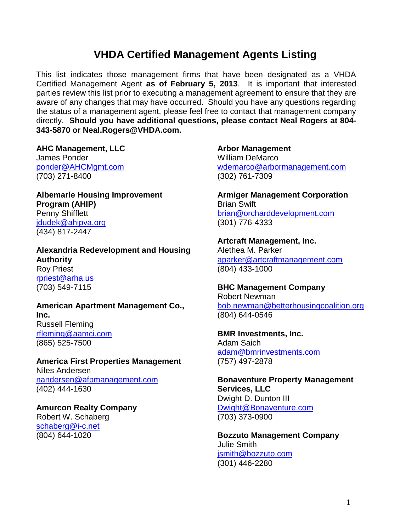## **VHDA Certified Management Agents Listing**

This list indicates those management firms that have been designated as a VHDA Certified Management Agent **as of February 5, 2013**. It is important that interested parties review this list prior to executing a management agreement to ensure that they are aware of any changes that may have occurred. Should you have any questions regarding the status of a management agent, please feel free to contact that management company directly. **Should you have additional questions, please contact Neal Rogers at 804- 343-5870 or Neal.Rogers@VHDA.com.** 

**AHC Management, LLC** James Ponder [ponder@AHCMgmt.com](mailto:ponder@AHCMgmt.com)

(703) 271-8400

**Albemarle Housing Improvement Program (AHIP)** Penny Shifflett [jdudek@ahipva.org](mailto:jdudek@ahipva.org) (434) 817-2447

**Alexandria Redevelopment and Housing Authority** Roy Priest [rpriest@arha.us](mailto:rpriest@arha.us) (703) 549-7115

**American Apartment Management Co., Inc.** Russell Fleming [rfleming@aamci.com](mailto:rfleming@aamci.com) (865) 525-7500

**America First Properties Management** Niles Andersen [nandersen@afpmanagement.com](mailto:nandersen@afpmanagement.com) (402) 444-1630

**Amurcon Realty Company** Robert W. Schaberg [schaberg@i-c.net](mailto:schaberg@i-c.net) (804) 644-1020

**Arbor Management** William DeMarco [wdemarco@arbormanagement.com](mailto:wdemarco@arbormanagement.com) (302) 761-7309

**Armiger Management Corporation** Brian Swift [brian@orcharddevelopment.com](mailto:brian@orcharddevelopment.com) (301) 776-4333

**Artcraft Management, Inc.** Alethea M. Parker [aparker@artcraftmanagement.com](mailto:aparker@artcraftmanagement.com) (804) 433-1000

**BHC Management Company** Robert Newman [bob.newman@betterhousingcoalition.org](mailto:bob.newman@betterhousingcoalition.org) (804) 644-0546

**BMR Investments, Inc.** Adam Saich [adam@bmrinvestments.com](mailto:adam@bmrinvestments.com) (757) 497-2878

**Bonaventure Property Management Services, LLC** Dwight D. Dunton III [Dwight@Bonaventure.com](mailto:Dwight@Bonaventure.com) (703) 373-0900

**Bozzuto Management Company** Julie Smith [jsmith@bozzuto.com](mailto:jsmith@bozzuto.com) (301) 446-2280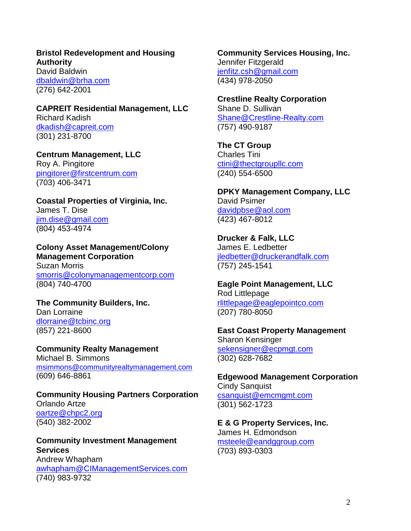**Bristol Redevelopment and Housing Authority** David Baldwin [dbaldwin@brha.com](mailto:dbaldwin@brha.com) (276) 642-2001

**CAPREIT Residential Management, LLC** Richard Kadish [dkadish@capreit.com](mailto:dkadish@capreit.com) (301) 231-8700

**Centrum Management, LLC** Roy A. Pingitore [pingitorer@firstcentrum.com](mailto:pingitorer@firstcentrum.com) (703) 406-3471

**Coastal Properties of Virginia, Inc.** James T. Dise [jim.dise@gmail.com](mailto:jim.dise@gmail.com) (804) 453-4974

**Colony Asset Management/Colony Management Corporation** Suzan Morris [smorris@colonymanagementcorp.com](mailto:smorris@colonymanagementcorp.com) (804) 740-4700

**The Community Builders, Inc.** Dan Lorraine [dlorraine@tcbinc.org](mailto:dlorraine@tcbinc.org) (857) 221-8600

**Community Realty Management** Michael B. Simmons [msimmons@communityrealtymanagement.com](mailto:msimmons@communityrealtymanagement.com) (609) 646-8861

**Community Housing Partners Corporation** Orlando Artze [oartze@chpc2.org](mailto:oartze@chpc2.org) (540) 382-2002

**Community Investment Management Services** Andrew Whapham [awhapham@CIManagementServices.com](mailto:awhapham@CIManagementServices.com) (740) 983-9732

**Community Services Housing, Inc.** Jennifer Fitzgerald [jenfitz.csh@gmail.com](mailto:jenfitz.csh@gmail.com) (434) 978-2050

**Crestline Realty Corporation** Shane D. Sullivan [Shane@Crestline-Realty.com](mailto:Shane@Crestline-Realty.com) (757) 490-9187

**The CT Group** Charles Tini [ctini@thectgroupllc.com](mailto:ctini@thectgroupllc.com) (240) 554-6500

**DPKY Management Company, LLC** David Psimer [davidpbse@aol.com](mailto:davidpbse@aol.com) (423) 467-8012

**Drucker & Falk, LLC** James E. Ledbetter [jledbetter@druckerandfalk.com](mailto:jledbetter@druckerandfalk.com) (757) 245-1541

**Eagle Point Management, LLC** Rod Littlepage [rlittlepage@eaglepointco.com](mailto:rlittlepage@eaglepointco.com) (207) 780-8050

**East Coast Property Management** Sharon Kensinger [sekensigner@ecpmgt.com](mailto:sekensigner@ecpmgt.com) (302) 628-7682

**Edgewood Management Corporation** Cindy Sanquist [csanquist@emcmgmt.com](mailto:csanquist@emcmgmt.com) (301) 562-1723

**E & G Property Services, Inc.** James H. Edmondson [msteele@eandggroup.com](mailto:msteele@eandggroup.com) (703) 893-0303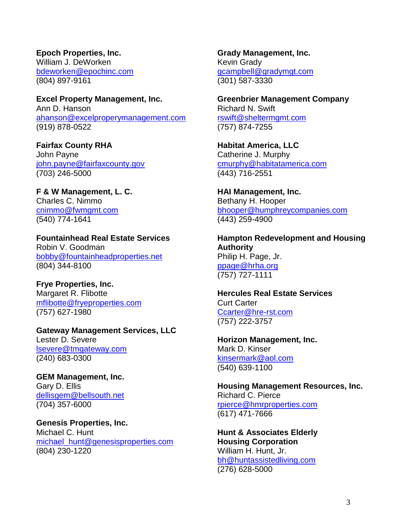**Epoch Properties, Inc.** William J. DeWorken [bdeworken@epochinc.com](mailto:bdeworken@epochinc.com) (804) 897-9161

**Excel Property Management, Inc.** Ann D. Hanson [ahanson@excelproperymanagement.com](mailto:ahanson@excelproperymanagement.com) (919) 878-0522

**Fairfax County RHA** John Payne [john.payne@fairfaxcounty.gov](mailto:john.payne@fairfaxcounty.gov) (703) 246-5000

**F & W Management, L. C.** Charles C. Nimmo [cnimmo@fwmgmt.com](mailto:cnimmo@fwmgmt.com) (540) 774-1641

**Fountainhead Real Estate Services** Robin V. Goodman [bobby@fountainheadproperties.net](mailto:bobby@fountainheadproperties.net) (804) 344-8100

**Frye Properties, Inc.** Margaret R. Flibotte [mflibotte@fryeproperties.com](mailto:mflibotte@fryeproperties.com) (757) 627-1980

**Gateway Management Services, LLC** Lester D. Severe [lsevere@tmgateway.com](mailto:lsevere@tmgateway.com) (240) 683-0300

**GEM Management, Inc.** Gary D. Ellis [dellisgem@bellsouth.net](mailto:dellisgem@bellsouth.net) (704) 357-6000

**Genesis Properties, Inc.** Michael C. Hunt [michael\\_hunt@genesisproperties.com](mailto:michael_hunt@genesisproperties.com) (804) 230-1220

**Grady Management, Inc.** Kevin Grady [gcampbell@gradymgt.com](mailto:gcampbell@gradymgt.com) (301) 587-3330

**Greenbrier Management Company** Richard N. Swift [rswift@sheltermgmt.com](mailto:rswift@sheltermgmt.com) (757) 874-7255

**Habitat America, LLC** Catherine J. Murphy [cmurphy@habitatamerica.com](mailto:cmurphy@habitatamerica.com) (443) 716-2551

**HAI Management, Inc.** Bethany H. Hooper [bhooper@humphreycompanies.com](mailto:bhooper@humphreycompanies.com) (443) 259-4900

**Hampton Redevelopment and Housing Authority** Philip H. Page, Jr. [ppage@hrha.org](mailto:ppage@hrha.org) (757) 727-1111

**Hercules Real Estate Services** Curt Carter [Ccarter@hre-rst.com](mailto:Ccarter@hre-rst.com) (757) 222-3757

**Horizon Management, Inc.** Mark D. Kinser [kinsermark@aol.com](mailto:kinsermark@aol.com) (540) 639-1100

**Housing Management Resources, Inc.** Richard C. Pierce [rpierce@hmrproperties.com](mailto:rpierce@hmrproperties.com) (617) 471-7666

**Hunt & Associates Elderly Housing Corporation** William H. Hunt, Jr. [bh@huntassistedliving.com](mailto:bh@huntassistedliving.com) (276) 628-5000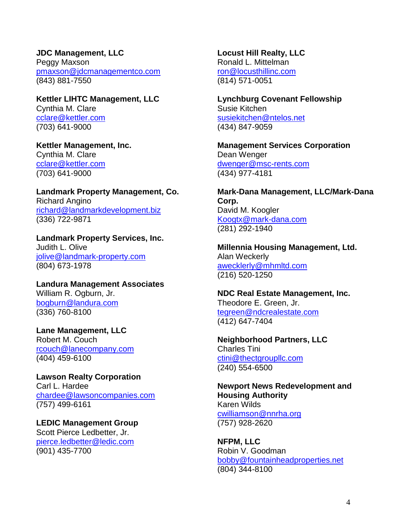**JDC Management, LLC** Peggy Maxson [pmaxson@jdcmanagementco.com](mailto:pmaxson@jdcmanagementco.com) (843) 881-7550

**Kettler LIHTC Management, LLC** Cynthia M. Clare [cclare@kettler.com](mailto:cclare@kettler.com) (703) 641-9000

**Kettler Management, Inc.** Cynthia M. Clare [cclare@kettler.com](mailto:cclare@kettler.com) (703) 641-9000

**Landmark Property Management, Co.** Richard Angino [richard@landmarkdevelopment.biz](mailto:richard@landmarkdevelopment.biz) (336) 722-9871

**Landmark Property Services, Inc.** Judith L. Olive [jolive@landmark-property.com](mailto:jolive@landmark-property.com) (804) 673-1978

**Landura Management Associates** William R. Ogburn, Jr. [bogburn@landura.com](mailto:bogburn@landura.com) (336) 760-8100

**Lane Management, LLC** Robert M. Couch [rcouch@lanecompany.com](mailto:rcouch@lanecompany.com) (404) 459-6100

**Lawson Realty Corporation** Carl L. Hardee [chardee@lawsoncompanies.com](mailto:chardee@lawsoncompanies.com) (757) 499-6161

**LEDIC Management Group** Scott Pierce Ledbetter, Jr. [pierce.ledbetter@ledic.com](mailto:pierce.ledbetter@ledic.com) (901) 435-7700

**Locust Hill Realty, LLC** Ronald L. Mittelman [ron@locusthillinc.com](mailto:ron@locusthillinc.com) (814) 571-0051

**Lynchburg Covenant Fellowship** Susie Kitchen [susiekitchen@ntelos.net](mailto:susiekitchen@ntelos.net) (434) 847-9059

**Management Services Corporation** Dean Wenger [dwenger@msc-rents.com](mailto:dwenger@msc-rents.com) (434) 977-4181

**Mark-Dana Management, LLC/Mark-Dana Corp.** David M. Koogler [Koogtx@mark-dana.com](mailto:Koogtx@mark-dana.com) (281) 292-1940

**Millennia Housing Management, Ltd.** Alan Weckerly [awecklerly@mhmltd.com](mailto:awecklerly@mhmltd.com) (216) 520-1250

**NDC Real Estate Management, Inc.** Theodore E. Green, Jr. [tegreen@ndcrealestate.com](mailto:tegreen@ndcrealestate.com) (412) 647-7404

**Neighborhood Partners, LLC** Charles Tini [ctini@thectgroupllc.com](mailto:ctini@thectgroupllc.com) (240) 554-6500

**Newport News Redevelopment and Housing Authority** Karen Wilds [cwilliamson@nnrha.org](mailto:cwilliamson@nnrha.org) (757) 928-2620

**NFPM, LLC** Robin V. Goodman [bobby@fountainheadproperties.net](mailto:bobby@fountainheadproperties.net) (804) 344-8100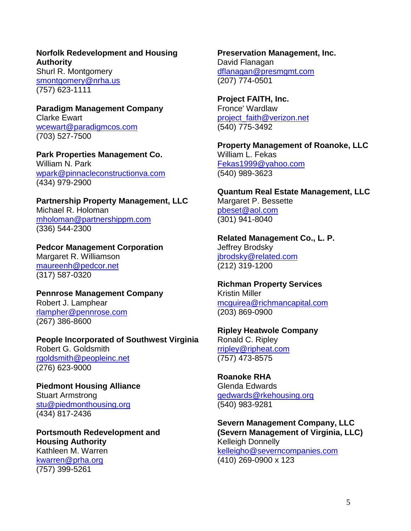**Norfolk Redevelopment and Housing Authority** Shurl R. Montgomery [smontgomery@nrha.us](mailto:smontgomery@nrha.us) (757) 623-1111

**Paradigm Management Company** Clarke Ewart [wcewart@paradigmcos.com](mailto:wcewart@paradigmcos.com) (703) 527-7500

**Park Properties Management Co.** William N. Park [wpark@pinnacleconstructionva.com](mailto:wpark@pinnacleconstructionva.com) (434) 979-2900

**Partnership Property Management, LLC** Michael R. Holoman [mholoman@partnershippm.com](mailto:mholoman@partnershippm.com) (336) 544-2300

**Pedcor Management Corporation** Margaret R. Williamson [maureenh@pedcor.net](mailto:maureenh@pedcor.net) (317) 587-0320

**Pennrose Management Company** Robert J. Lamphear [rlampher@pennrose.com](mailto:rlampher@pennrose.com) (267) 386-8600

**People Incorporated of Southwest Virginia** Robert G. Goldsmith [rgoldsmith@peopleinc.net](mailto:rgoldsmith@peopleinc.net) (276) 623-9000

**Piedmont Housing Alliance** Stuart Armstrong [stu@piedmonthousing.org](mailto:stu@piedmonthousing.org) (434) 817-2436

**Portsmouth Redevelopment and Housing Authority** Kathleen M. Warren [kwarren@prha.org](mailto:kwarren@prha.org) (757) 399-5261

**Preservation Management, Inc.** David Flanagan [dflanagan@presmgmt.com](mailto:dflanagan@presmgmt.com) (207) 774-0501

**Project FAITH, Inc.** Fronce' Wardlaw [project\\_faith@verizon.net](mailto:project_faith@verizon.net) (540) 775-3492

**Property Management of Roanoke, LLC** William L. Fekas [Fekas1999@yahoo.com](mailto:Fekas1999@yahoo.com) (540) 989-3623

**Quantum Real Estate Management, LLC** Margaret P. Bessette [pbeset@aol.com](mailto:pbeset@aol.com) (301) 941-8040

**Related Management Co., L. P.** Jeffrey Brodsky [jbrodsky@related.com](mailto:jbrodsky@related.com) (212) 319-1200

**Richman Property Services** Kristin Miller [mcguirea@richmancapital.com](mailto:mcguirea@richmancapital.com) (203) 869-0900

**Ripley Heatwole Company** Ronald C. Ripley [rripley@ripheat.com](mailto:rripley@ripheat.com) (757) 473-8575

**Roanoke RHA** Glenda Edwards [gedwards@rkehousing.org](mailto:gedwards@rkehousing.org) (540) 983-9281

**Severn Management Company, LLC (Severn Management of Virginia, LLC)** Kelleigh Donnelly [kelleigho@severncompanies.com](mailto:kelleigho@severncompanies.com) (410) 269-0900 x 123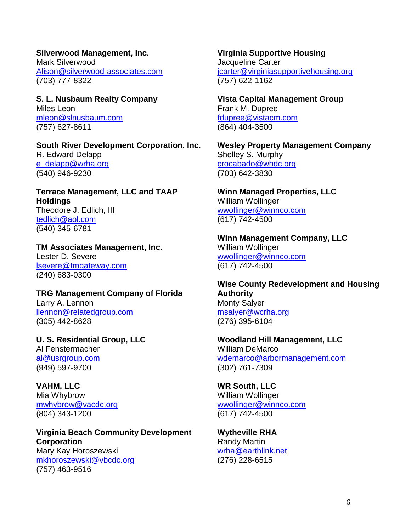**Silverwood Management, Inc.** Mark Silverwood [Alison@silverwood-associates.com](mailto:Alison@silverwood-associates.com) (703) 777-8322

**S. L. Nusbaum Realty Company** Miles Leon [mleon@slnusbaum.com](mailto:mleon@slnusbaum.com) (757) 627-8611

**South River Development Corporation, Inc.** R. Edward Delapp [e\\_delapp@wrha.org](mailto:e_delapp@wrha.org) (540) 946-9230

**Terrace Management, LLC and TAAP Holdings** Theodore J. Edlich, III [tedlich@aol.com](mailto:tedlich@aol.com) (540) 345-6781

**TM Associates Management, Inc.** Lester D. Severe [lsevere@tmgateway.com](mailto:lsevere@tmgateway.com) (240) 683-0300

**TRG Management Company of Florida** Larry A. Lennon [llennon@relatedgroup.com](mailto:llennon@relatedgroup.com) (305) 442-8628

**U. S. Residential Group, LLC** Al Fenstermacher [al@usrgroup.com](mailto:al@usrgroup.com) (949) 597-9700

**VAHM, LLC** Mia Whybrow [mwhybrow@vacdc.org](mailto:mwhybrow@vacdc.org) (804) 343-1200

**Virginia Beach Community Development Corporation** Mary Kay Horoszewski [mkhoroszewski@vbcdc.org](mailto:mkhoroszewski@vbcdc.org) (757) 463-9516

**Virginia Supportive Housing** Jacqueline Carter [jcarter@virginiasupportivehousing.org](mailto:cstreett@virginiasupportivehousing.org) (757) 622-1162

**Vista Capital Management Group** Frank M. Dupree [fdupree@vistacm.com](mailto:fdupree@vistacm.com) (864) 404-3500

**Wesley Property Management Company** Shelley S. Murphy [crocabado@whdc.org](mailto:crocabado@whdc.org) (703) 642-3830

**Winn Managed Properties, LLC** William Wollinger [wwollinger@winnco.com](mailto:wwollinger@winnco.com) (617) 742-4500

**Winn Management Company, LLC** William Wollinger [wwollinger@winnco.com](mailto:wwollinger@winnco.com) (617) 742-4500

**Wise County Redevelopment and Housing Authority** Monty Salyer [msalyer@wcrha.org](mailto:msalyer@wcrha.org) (276) 395-6104

**Woodland Hill Management, LLC** William DeMarco [wdemarco@arbormanagement.com](mailto:wdemarco@arbormanagement.com) (302) 761-7309

**WR South, LLC** William Wollinger [wwollinger@winnco.com](mailto:wwollinger@winnco.com) (617) 742-4500

**Wytheville RHA** Randy Martin [wrha@earthlink.net](mailto:wrha@earthlink.net) (276) 228-6515